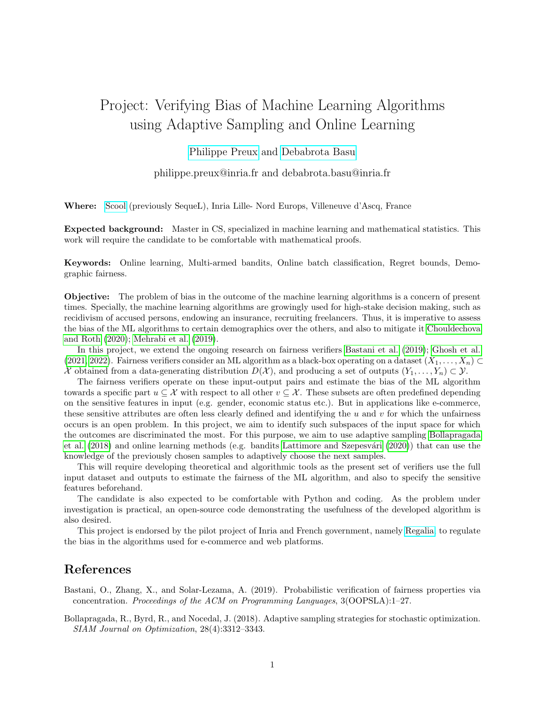## Project: Verifying Bias of Machine Learning Algorithms using Adaptive Sampling and Online Learning

[Philippe Preux](https://philippe-preux.github.io/) and [Debabrota Basu](https://debabrota-basu.github.io/)

philippe.preux@inria.fr and debabrota.basu@inria.fr

Where: [Scool](https://team.inria.fr/scool/) (previously SequeL), Inria Lille- Nord Europs, Villeneuve d'Ascq, France

Expected background: Master in CS, specialized in machine learning and mathematical statistics. This work will require the candidate to be comfortable with mathematical proofs.

Keywords: Online learning, Multi-armed bandits, Online batch classification, Regret bounds, Demographic fairness.

Objective: The problem of bias in the outcome of the machine learning algorithms is a concern of present times. Specially, the machine learning algorithms are growingly used for high-stake decision making, such as recidivism of accused persons, endowing an insurance, recruiting freelancers. Thus, it is imperative to assess the bias of the ML algorithms to certain demographics over the others, and also to mitigate it [Chouldechova](#page-1-0) [and Roth](#page-1-0) [\(2020\)](#page-1-0); [Mehrabi et al.](#page-1-1) [\(2019\)](#page-1-1).

In this project, we extend the ongoing research on fairness verifiers [Bastani et al.](#page-0-0) [\(2019\)](#page-0-0); [Ghosh et al.](#page-1-2) [\(2021,](#page-1-2) [2022\)](#page-1-3). Fairness verifiers consider an ML algorithm as a black-box operating on a dataset  $(X_1, \ldots, X_n)$ X obtained from a data-generating distribution  $D(\mathcal{X})$ , and producing a set of outputs  $(Y_1, \ldots, Y_n) \subset \mathcal{Y}$ .

The fairness verifiers operate on these input-output pairs and estimate the bias of the ML algorithm towards a specific part  $u \subseteq \mathcal{X}$  with respect to all other  $v \subseteq \mathcal{X}$ . These subsets are often predefined depending on the sensitive features in input (e.g. gender, economic status etc.). But in applications like e-commerce, these sensitive attributes are often less clearly defined and identifying the  $u$  and  $v$  for which the unfairness occurs is an open problem. In this project, we aim to identify such subspaces of the input space for which the outcomes are discriminated the most. For this purpose, we aim to use adaptive sampling [Bollapragada](#page-0-1) [et al.](#page-0-1) [\(2018\)](#page-0-1) and online learning methods (e.g. bandits Lattimore and Szepesvári [\(2020\)](#page-1-4)) that can use the knowledge of the previously chosen samples to adaptively choose the next samples.

This will require developing theoretical and algorithmic tools as the present set of verifiers use the full input dataset and outputs to estimate the fairness of the ML algorithm, and also to specify the sensitive features beforehand.

The candidate is also expected to be comfortable with Python and coding. As the problem under investigation is practical, an open-source code demonstrating the usefulness of the developed algorithm is also desired.

This project is endorsed by the pilot project of Inria and French government, namely [Regalia,](https://www.inria.fr/en/regalia-pilot-project-regulation-algorithms) to regulate the bias in the algorithms used for e-commerce and web platforms.

## References

<span id="page-0-0"></span>Bastani, O., Zhang, X., and Solar-Lezama, A. (2019). Probabilistic verification of fairness properties via concentration. Proceedings of the ACM on Programming Languages, 3(OOPSLA):1–27.

<span id="page-0-1"></span>Bollapragada, R., Byrd, R., and Nocedal, J. (2018). Adaptive sampling strategies for stochastic optimization. SIAM Journal on Optimization, 28(4):3312–3343.